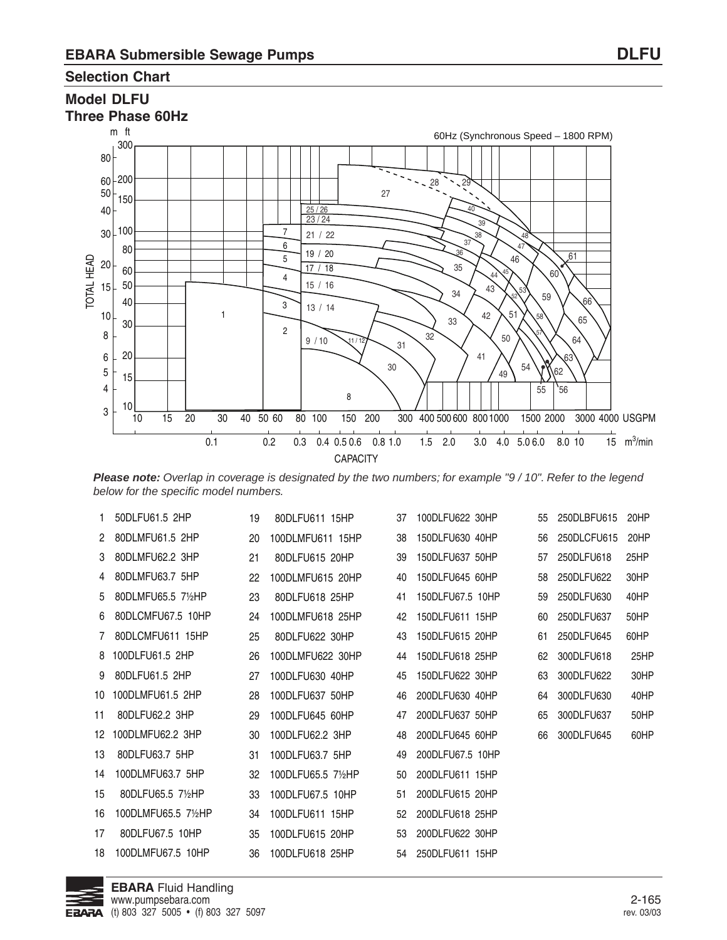#### **Selection Chart**

#### **Model DLFU Three Phase 60Hz**



**Please note:** Overlap in coverage is designated by the two numbers; for example "9 / 10". Refer to the legend below for the specific model numbers.

| 1. | 50DLFU61.5 2HP      | 19 | 80DLFU611 15HP     | 37 | 100DLFU622 30HP  | 55 | 250DLBFU615 | 20HP |
|----|---------------------|----|--------------------|----|------------------|----|-------------|------|
| 2  | 80DLMFU61.5 2HP     | 20 | 100DLMFU611 15HP   | 38 | 150DLFU630 40HP  | 56 | 250DLCFU615 | 20HP |
| 3  | 80DLMFU62.2 3HP     | 21 | 80DLFU615 20HP     | 39 | 150DLFU637 50HP  | 57 | 250DLFU618  | 25HP |
| 4  | 80DLMFU63.7 5HP     | 22 | 100DLMFU615 20HP   | 40 | 150DLFU645 60HP  | 58 | 250DLFU622  | 30HP |
| 5  | 80DLMFU65.5 71/2HP  | 23 | 80DLFU618 25HP     | 41 | 150DLFU67.5 10HP | 59 | 250DLFU630  | 40HP |
| 6  | 80DLCMFU67.5 10HP   | 24 | 100DLMFU618 25HP   | 42 | 150DLFU611 15HP  | 60 | 250DLFU637  | 50HP |
| 7  | 80DLCMFU611 15HP    | 25 | 80DLFU622 30HP     | 43 | 150DLFU615 20HP  | 61 | 250DLFU645  | 60HP |
| 8  | 100DLFU61.5 2HP     | 26 | 100DLMFU622 30HP   | 44 | 150DLFU618 25HP  | 62 | 300DLFU618  | 25HP |
| 9  | 80DLFU61.5 2HP      | 27 | 100DLFU630 40HP    | 45 | 150DLFU622 30HP  | 63 | 300DLFU622  | 30HP |
| 10 | 100DLMFU61.5 2HP    | 28 | 100DLFU637 50HP    | 46 | 200DLFU630 40HP  | 64 | 300DLFU630  | 40HP |
| 11 | 80DLFU62.2 3HP      | 29 | 100DLFU645 60HP    | 47 | 200DLFU637 50HP  | 65 | 300DLFU637  | 50HP |
| 12 | 100DLMFU62.2 3HP    | 30 | 100DLFU62.2 3HP    | 48 | 200DLFU645 60HP  | 66 | 300DLFU645  | 60HP |
| 13 | 80DLFU63.7 5HP      | 31 | 100DLFU63.7 5HP    | 49 | 200DLFU67.5 10HP |    |             |      |
| 14 | 100DLMFU63.7 5HP    | 32 | 100DLFU65.5 71/2HP | 50 | 200DLFU611 15HP  |    |             |      |
| 15 | 80DLFU65.5 7½HP     | 33 | 100DLFU67.5 10HP   | 51 | 200DLFU615 20HP  |    |             |      |
| 16 | 100DLMFU65.5 71/2HP | 34 | 100DLFU611 15HP    | 52 | 200DLFU618 25HP  |    |             |      |
| 17 | 80DLFU67.5 10HP     | 35 | 100DLFU615 20HP    | 53 | 200DLFU622 30HP  |    |             |      |
| 18 | 100DLMFU67.5 10HP   | 36 | 100DLFU618 25HP    | 54 | 250DLFU611 15HP  |    |             |      |
|    |                     |    |                    |    |                  |    |             |      |

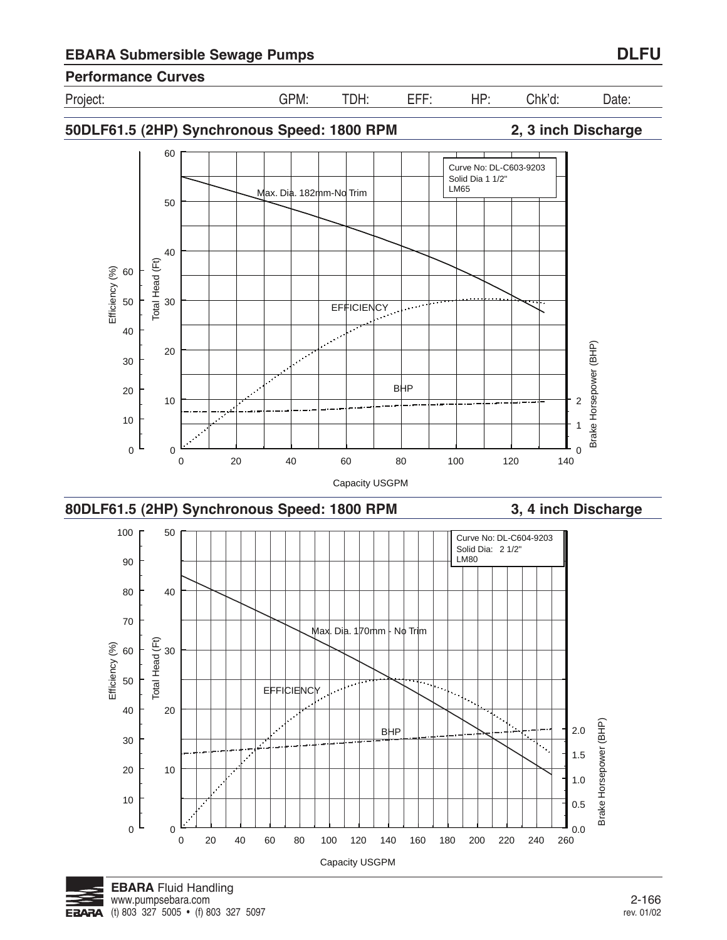**50DLF61.5 (2HP) Synchronous Speed: 1800 RPM 2, 3 inch Discharge** 60 Curve No: DL-C603-9203 Solid Dia 1 1/2" LM65 Max. Dia. 182mm-No Trim 50 40 Total Head (Ft) Total Head (Ft) Efficiency (%) 60 30 50 **EFFICIENCY** 40  $\mathcal{L}^{\mathcal{L}}$ Brake Horsepower (BHP) Brake Horsepower (BHP) 20  $\overline{\mathcal{L}^{\mathcal{C}}}$ 30 BHP 20 10 2 10 1 0 0 0 0 20 40 60 80 100 120 140 Capacity USGPM **80DLF61.5 (2HP) Synchronous Speed: 1800 RPM 3, 4 inch Discharge** 100 50 Curve No: DL-C604-9203 Solid Dia: 2 1/2" LM<sub>80</sub> 90 80 40 70 Max. Dia. 170mm - No Trim Total Head (Ft) Total Head (Ft) Efficiency (%) Efficiency (%) 30 60 50 **EFFICIENCY** 40 20 Brake Horsepower (BHP) Brake Horsepower (BHP) **BHP** 2.0 30 ∏.<br>. 1.5 10 20 1.0 10 0.5 0 0  $\frac{1}{260}$  0.0 0 20 40 60 80 100 120 140 160 180 200 220 240 260 Capacity USGPM



## Project: GPM: TDH: EFF: HP: Chk'd: Date:

**Performance Curves**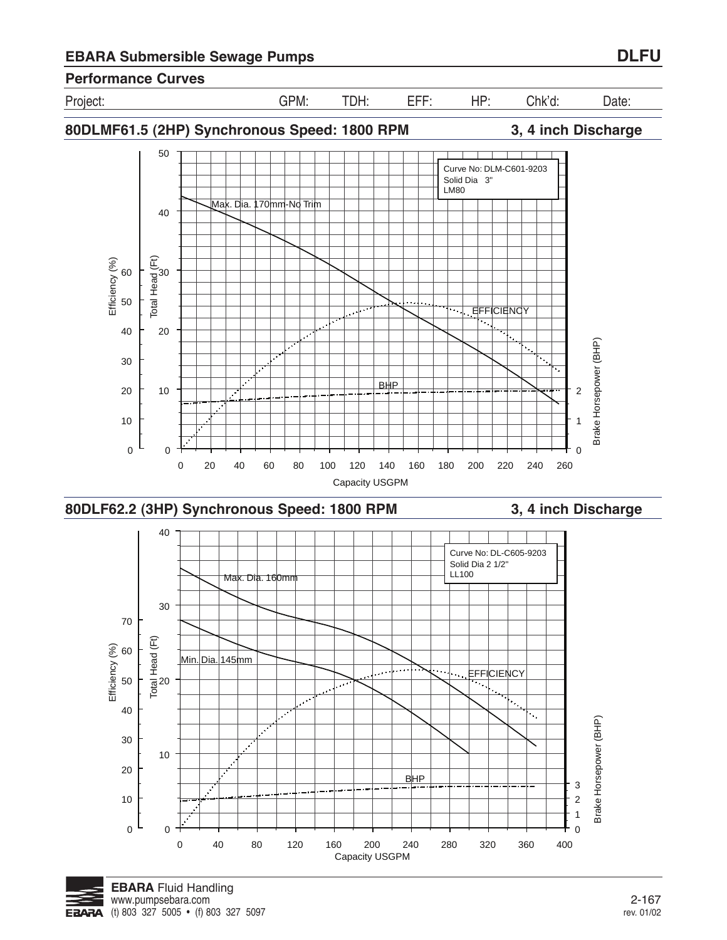











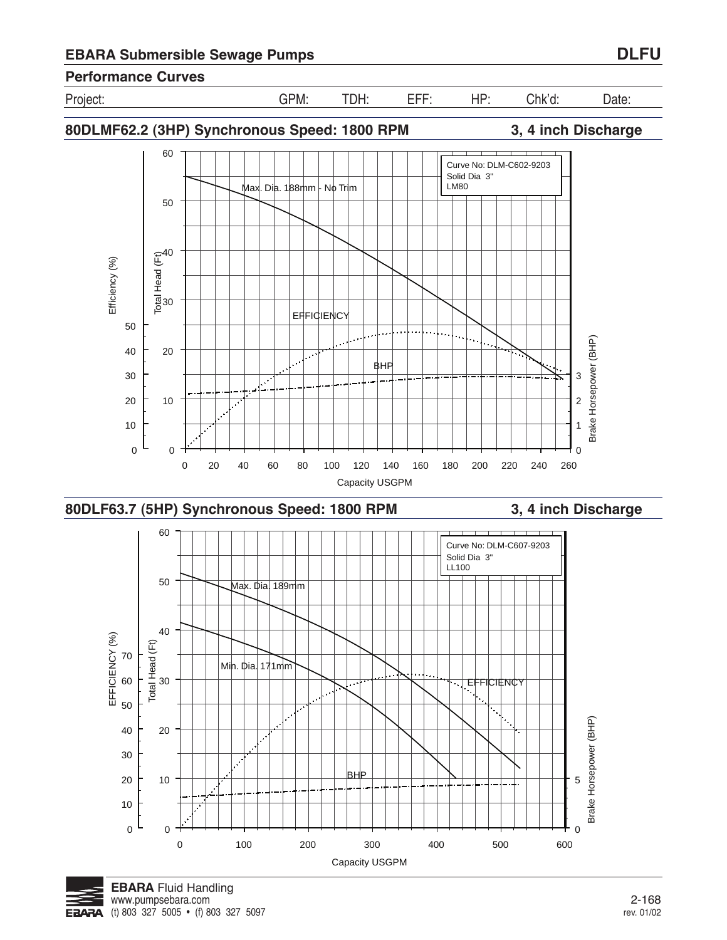

**80DLMF62.2 (3HP) Synchronous Speed: 1800 RPM 3, 4 inch Discharge**









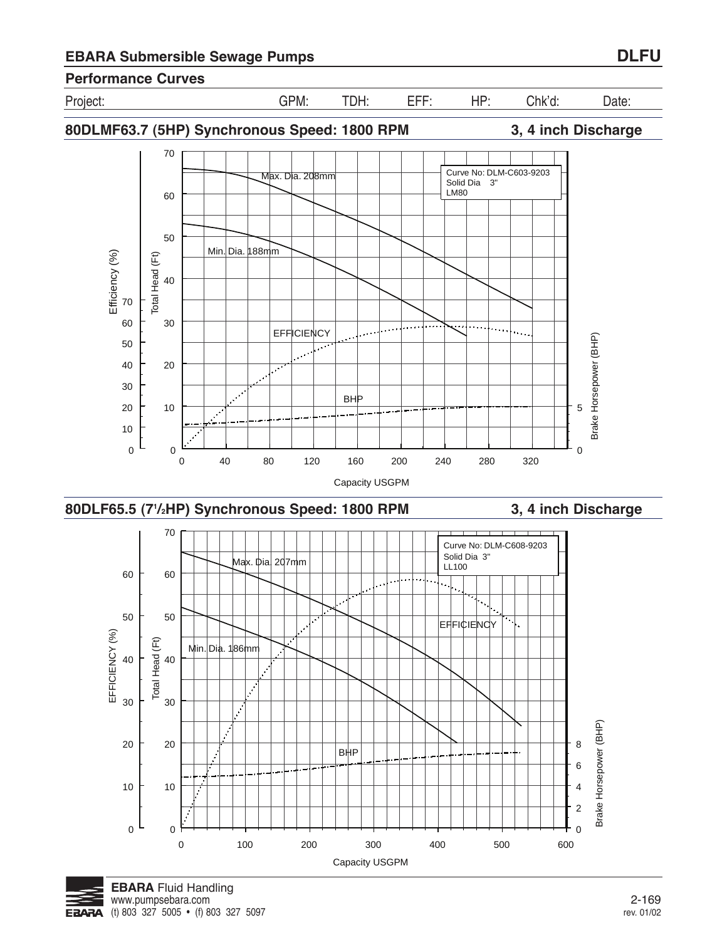**EBARA** Fluid Handling

**FRARA** 

(t) 803 327 5005 • (f) 803 327 5097

30

40

Total Head (Ft)

Total Head (Ft)

50 60 70 Efficiency (%)

Efficiency (%)









**EFFICIENCY** 



 $Min.$  Dia.  $188mm$ 



$$
\mathcal{L}^{\text{max}}(\mathcal{L}^{\text{max}})
$$

0

5

Brake Horsepower (BHP)

Brake Horsepower (BHP)

**80DLMF63.7 (5HP) Synchronous Speed: 1800 RPM 3, 4 inch Discharge**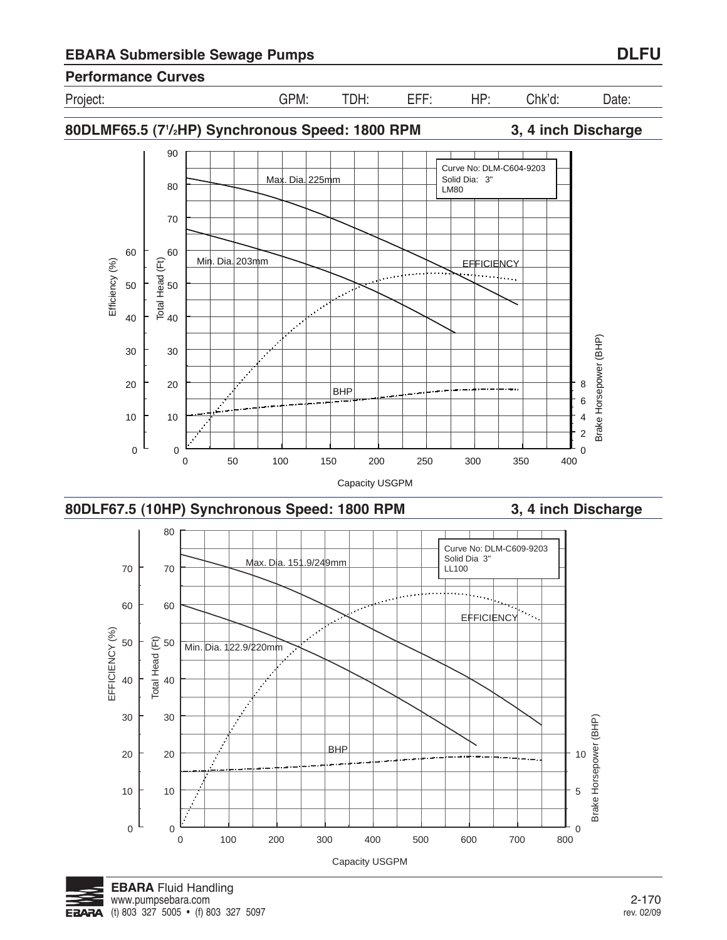

**80DLMF65.5 (71 /2HP) Synchronous Speed: 1800 RPM 3, 4 inch Discharge**







$$
\begin{array}{c}\n\hline\n\end{array}
$$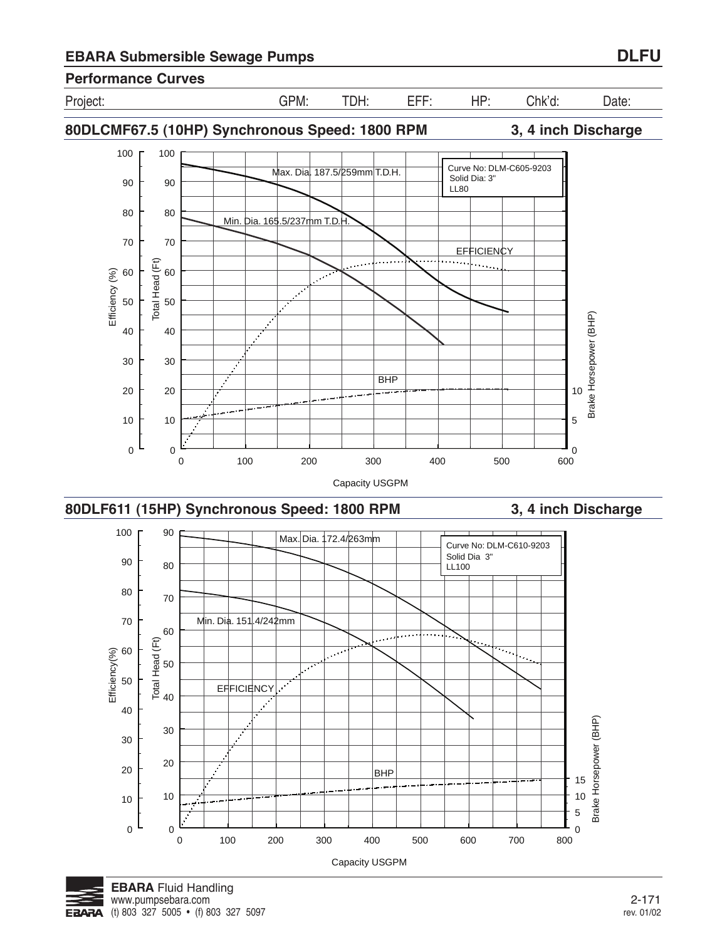Project: GPM: TDH: EFF: HP: Chk'd: Date:





0 100 200 300 400 500 600 700 800 Capacity USGPM

BHP



0

 $\mathbf 0$ 

10

20

10

پ

20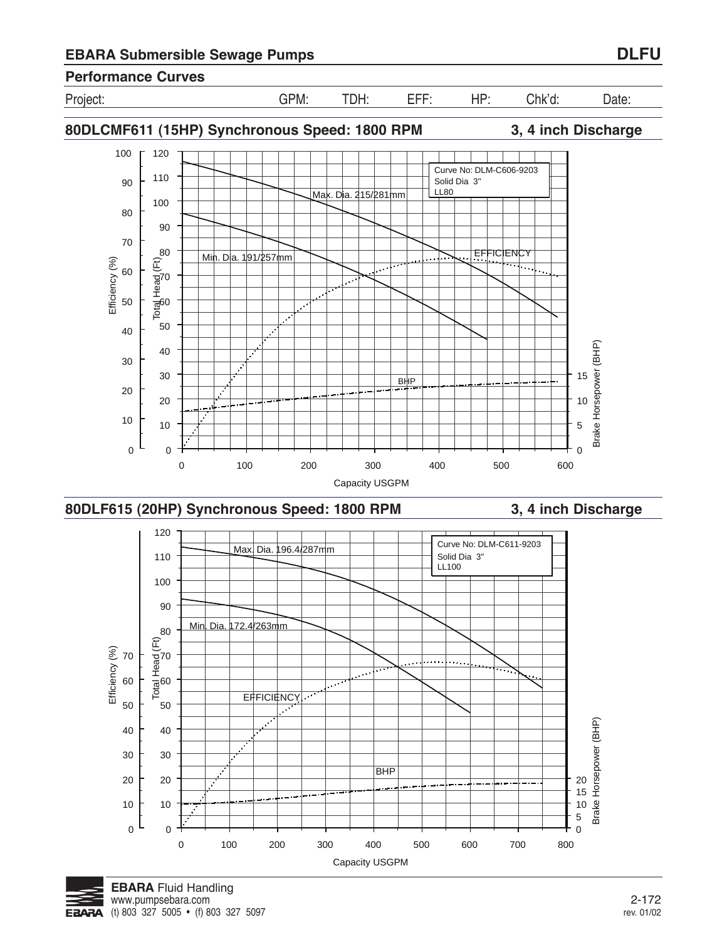





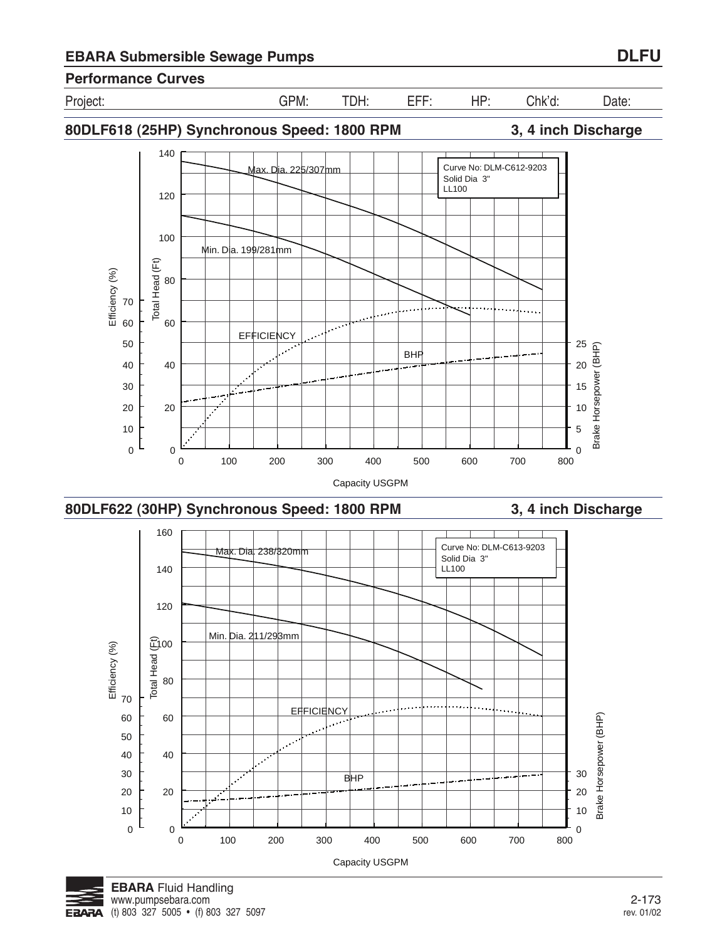

Brake Horsepower (BHP)

Brake Horsepower (BHP)



**BHP** 

0 100 200 300 400 500 600 700 800 Capacity USGPM

0 100 200 300 400 500 600 700 800 Capacity USGPM



0

20

0

20

40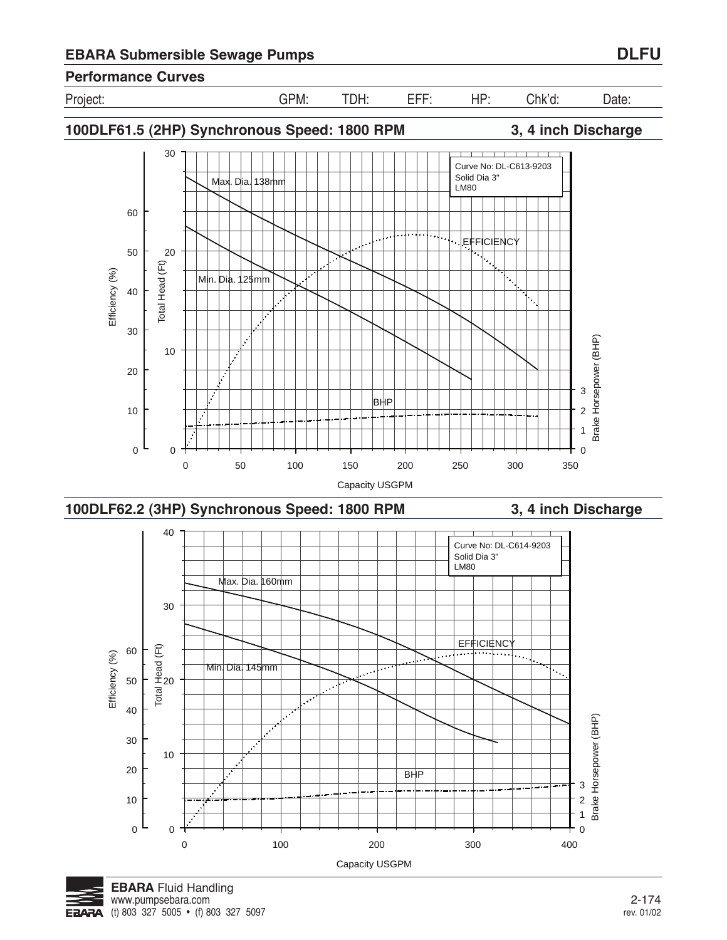

**100DLF61.5 (2HP) Synchronous Speed: 1800 RPM 3, 4 inch Discharge**







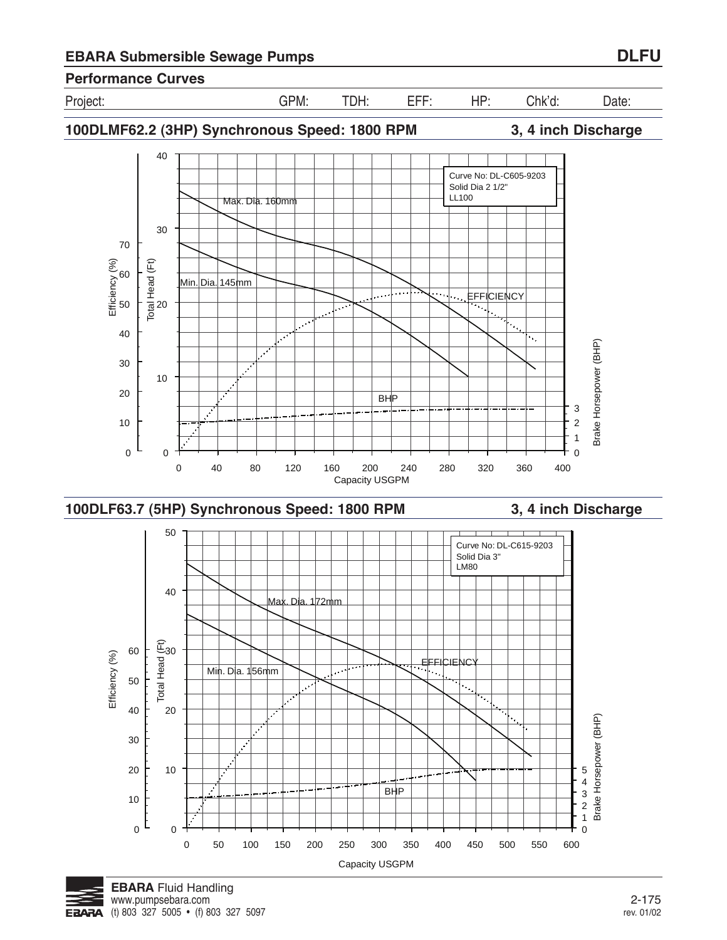



Min. Dia. 156mm

Brake Horsepower (BHP)

(t) 803 327 5005 • (f) 803 327 5097 **EBARA** 

50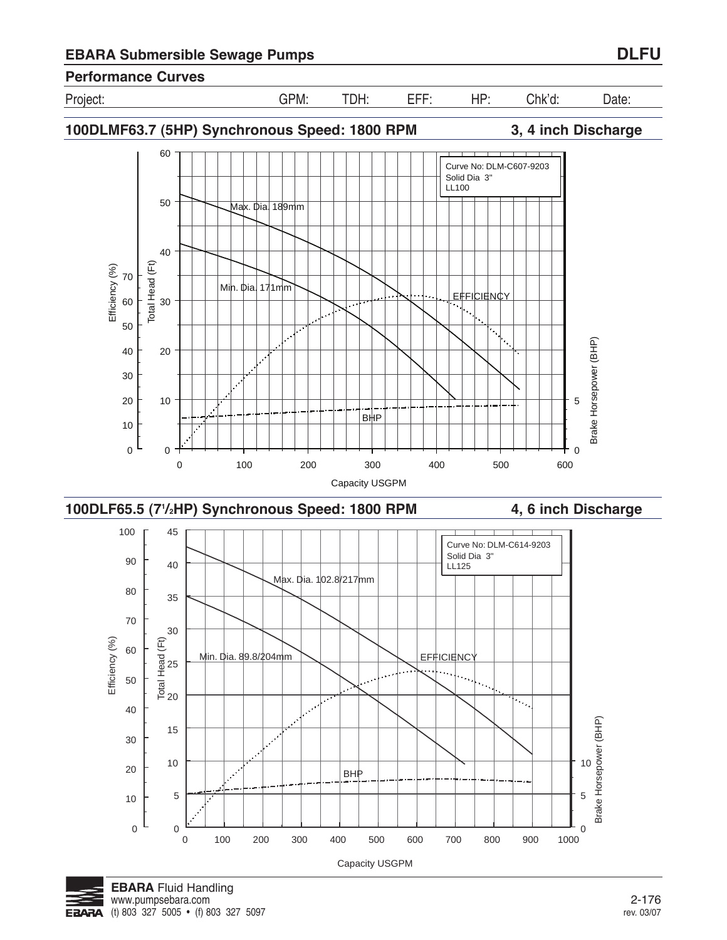Project: GPM: TDH: EFF: HP: Chk'd: Date:

**100DLMF63.7 (5HP) Synchronous Speed: 1800 RPM 3, 4 inch Discharge**







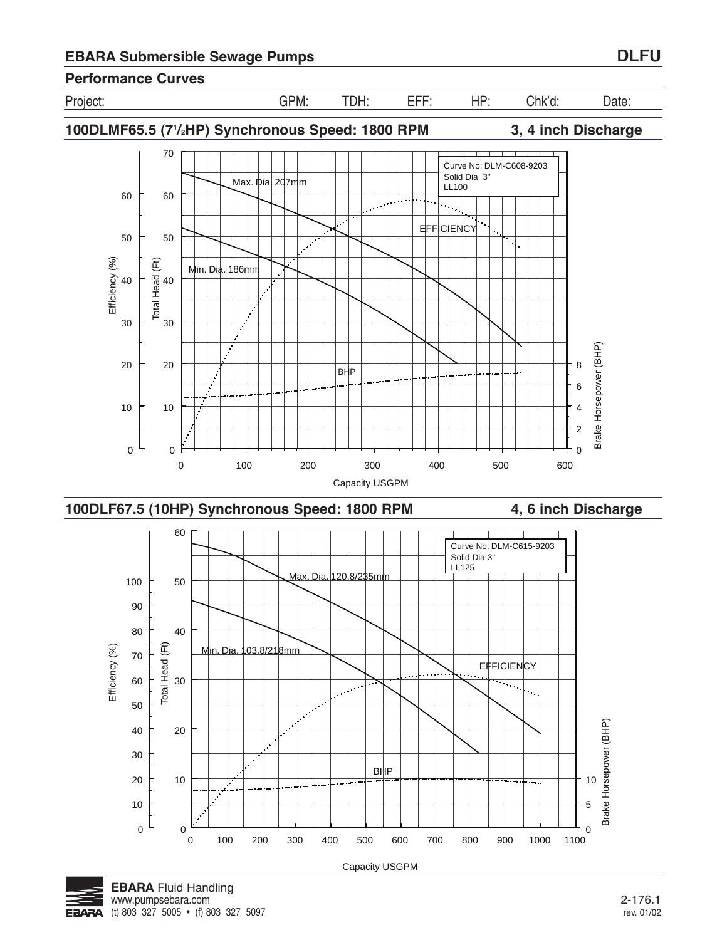Project: GPM: TDH: EFF: HP: Chk'd: Date:

70 Curve No: DLM-C608-9203 Solid Dia 3" Max. Dia. 207mm LL100 60 60 **EFFICIENCY**  $\overline{\phantom{a}}$ 50 50 न Efficiency (%)<br>
A<br>  $\frac{1}{6}$ Total Head (Ft)<br>3<br>5 Efficiency (%) Total Head (Ft) Min. Dia. 186mm  $\mathcal{L}$ 30 30  $\mathcal{L}$ Brake Horsepower (BHP) Brake Horsepower (BHP)  $\mathcal{L}$ 20 8 20 BHP 6 10 10 4 2 0 0  $\Omega$ 0 100 200 300 400 500 600 Capacity USGPM







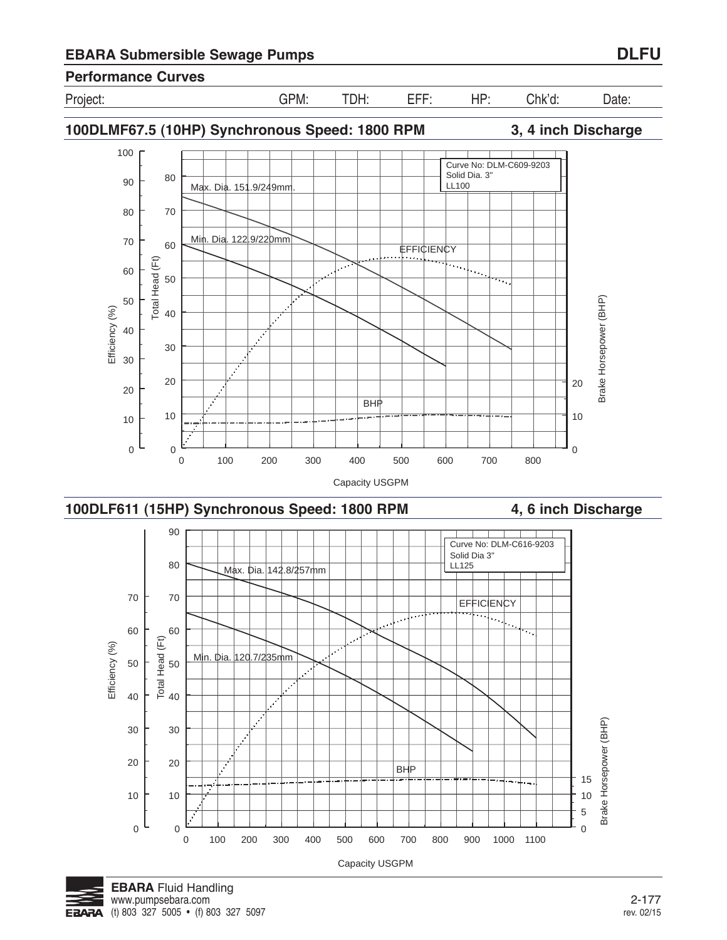











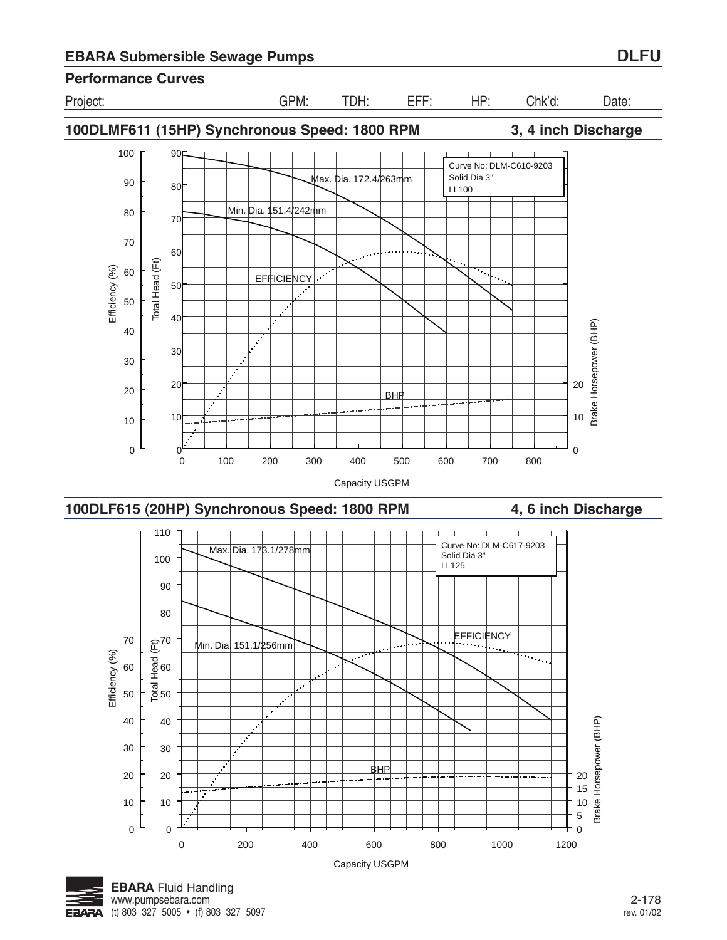







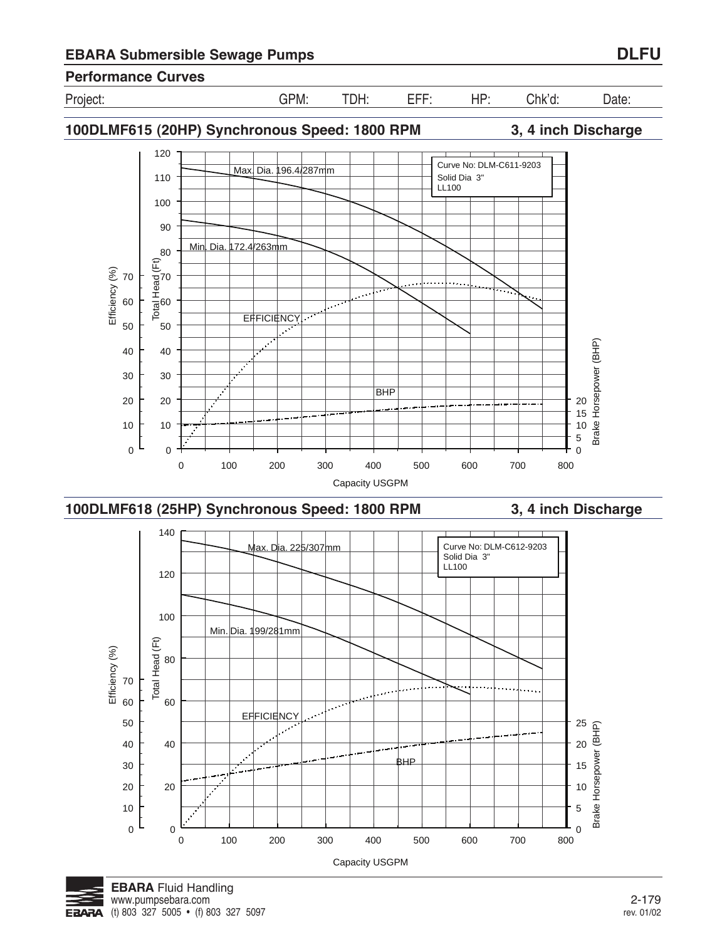

0 100 200 300 400 500 600 700 800 Capacity USGPM

## **Performance Curves**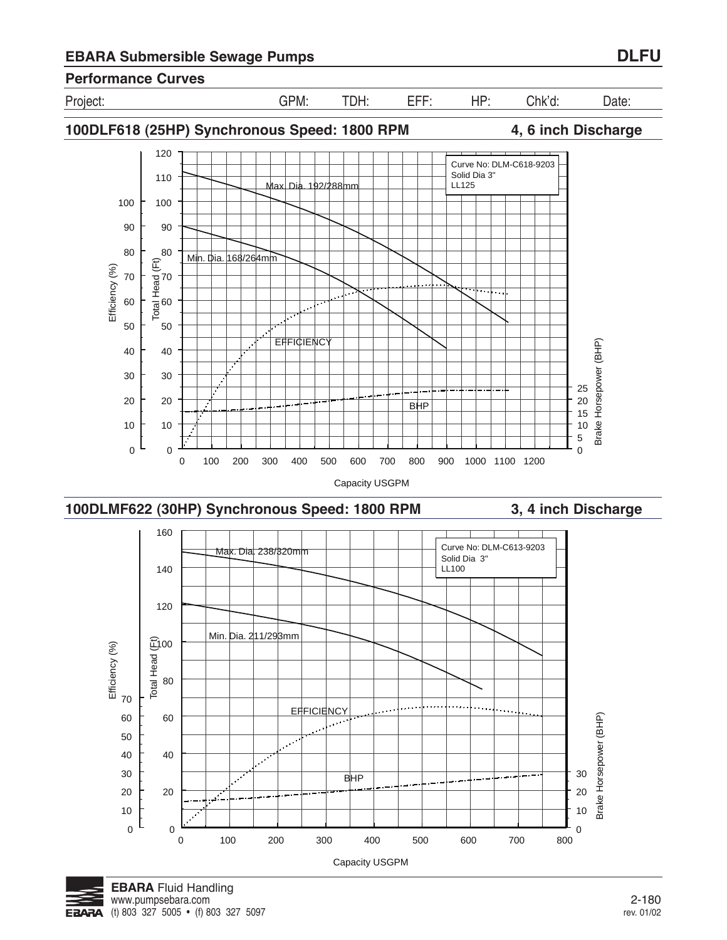

Project: GPM: TDH: EFF: HP: Chk'd: Date:





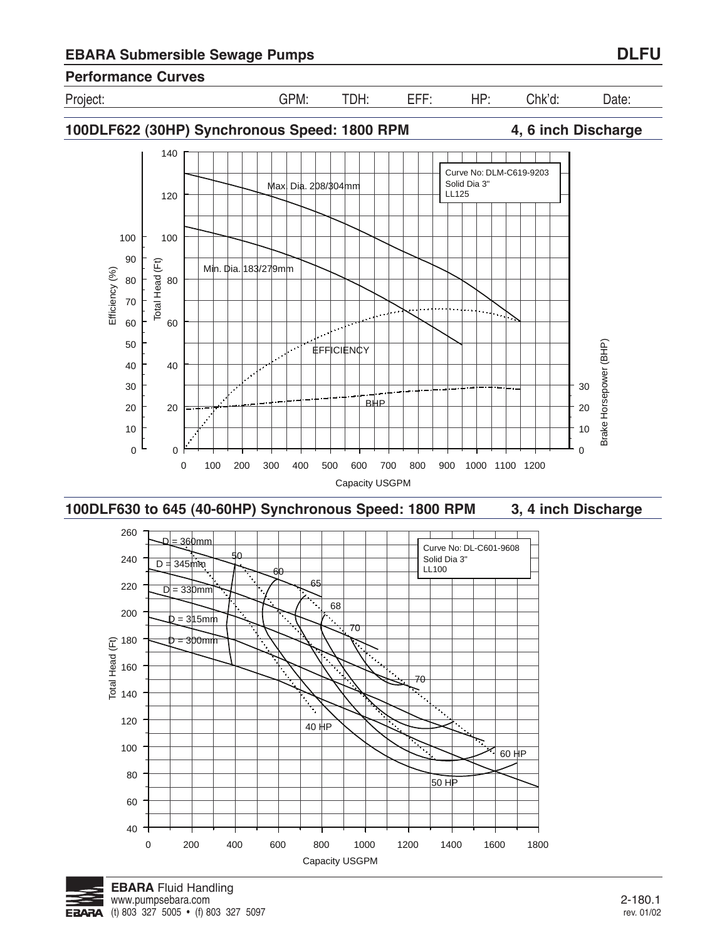

**100DLF622 (30HP) Synchronous Speed: 1800 RPM 4, 6 inch Discharge**





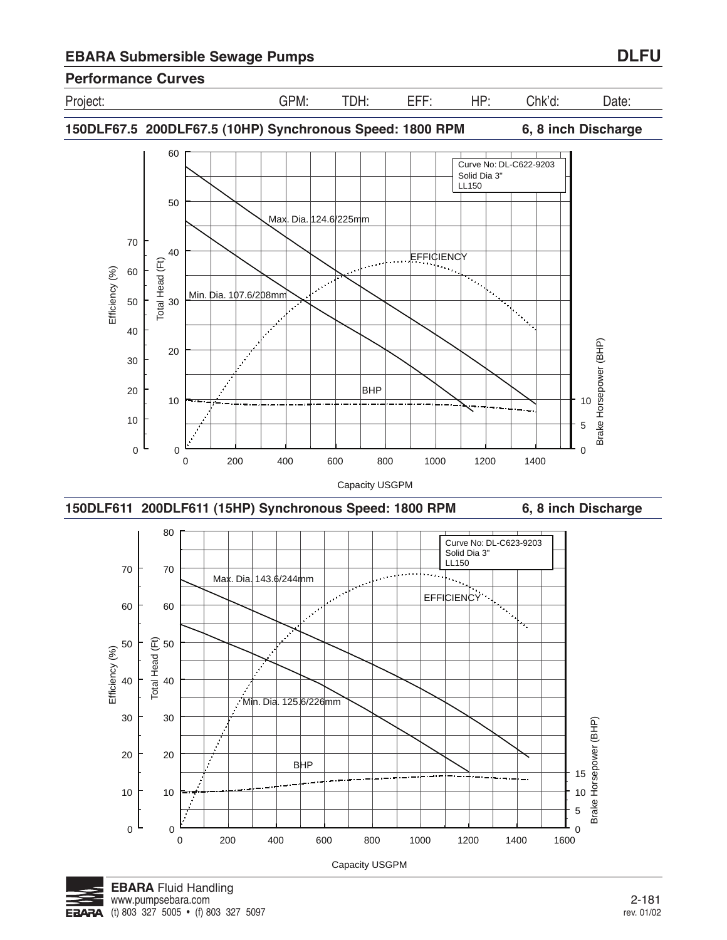Project: GPM: TDH: EFF: HP: Chk'd: Date:

**150DLF67.5 200DLF67.5 (10HP) Synchronous Speed: 1800 RPM 6, 8 inch Discharge**







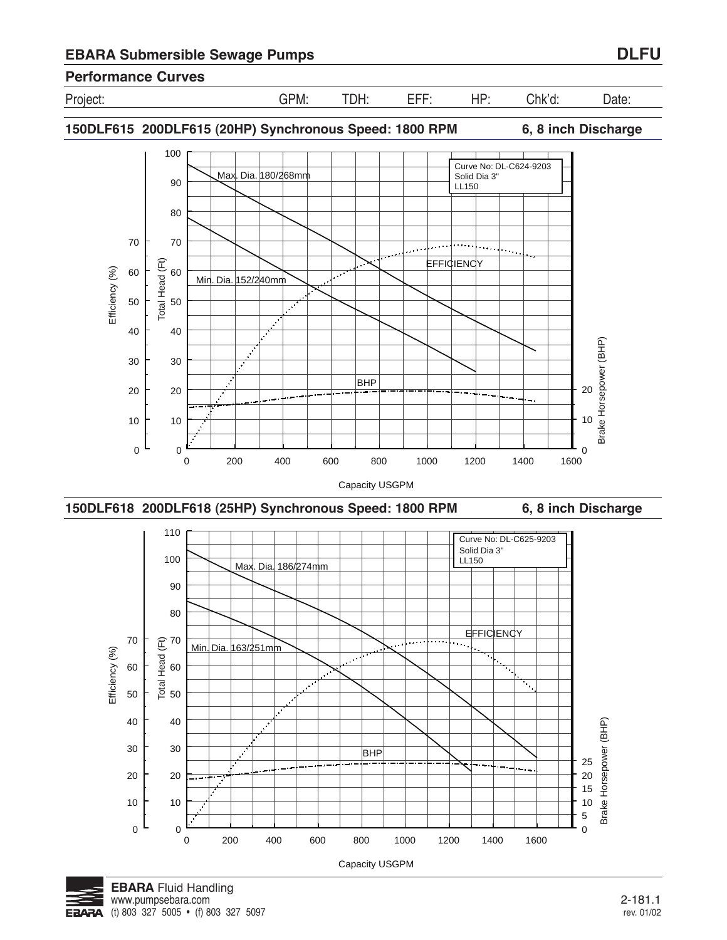



**150DLF615 200DLF615 (20HP) Synchronous Speed: 1800 RPM 6, 8 inch Discharge**



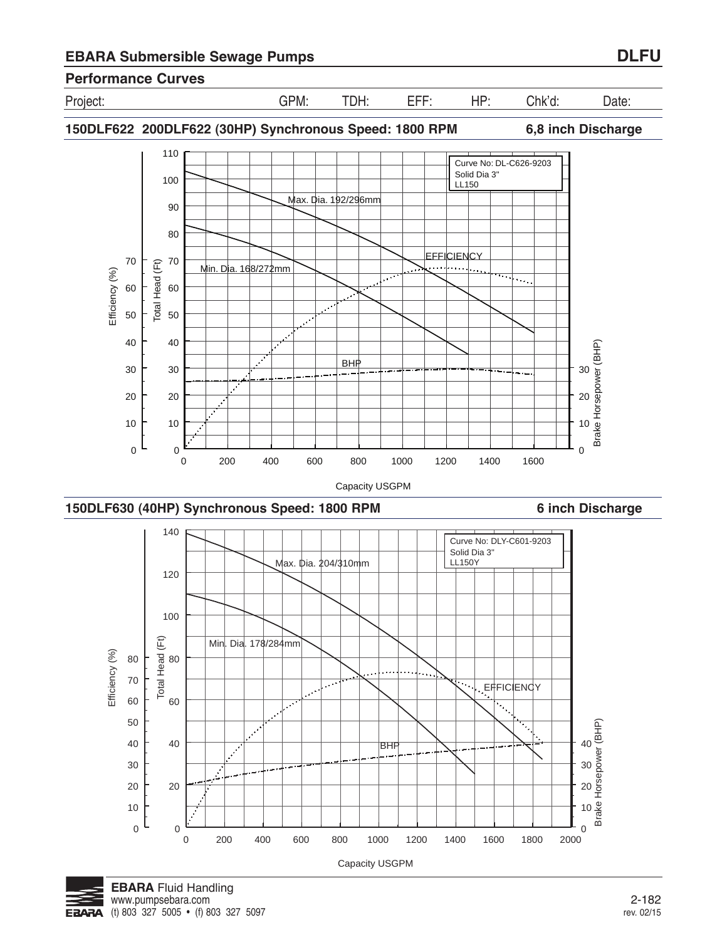



0 200 400 600 800 1000 1200 1400 1600 1800 2000

Capacity USGPM

0

0 10

 $\frac{1}{2000}$ 

10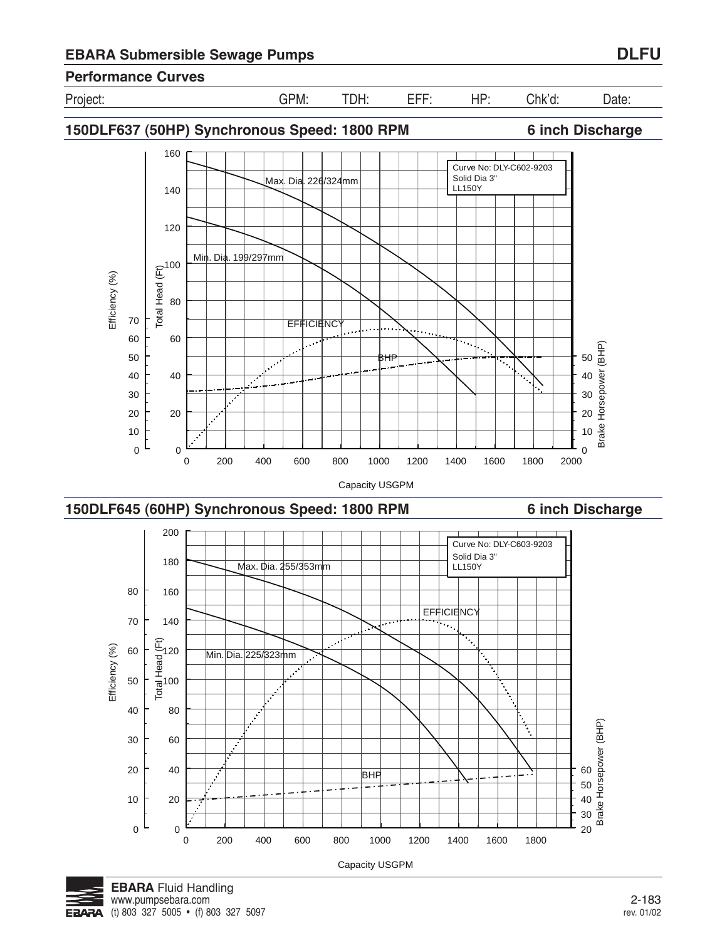



**150DLF637 (50HP) Synchronous Speed: 1800 RPM 6 inch Discharge**





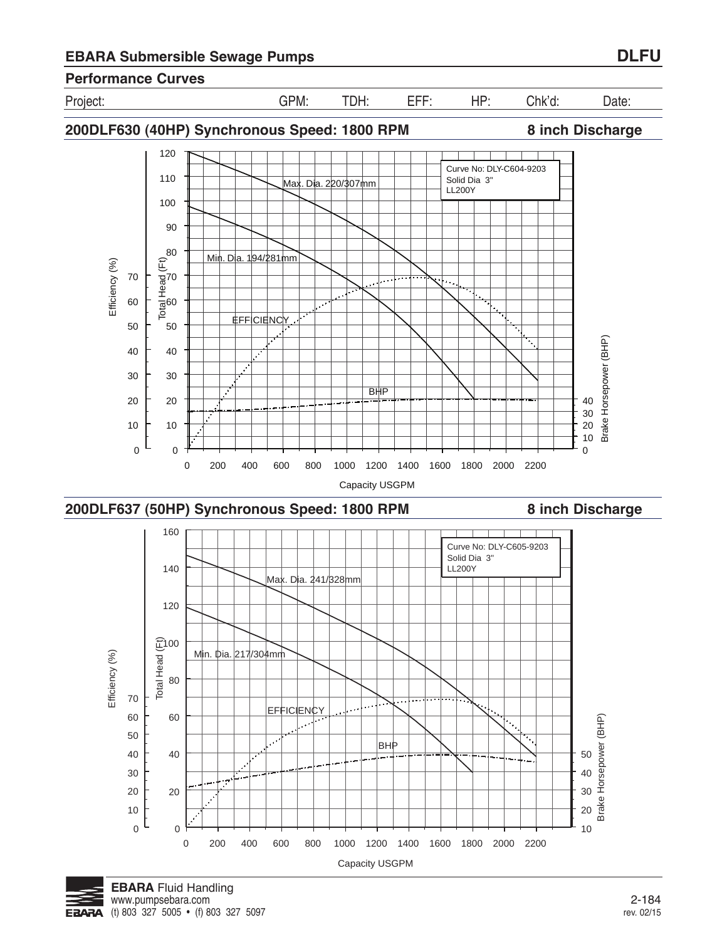







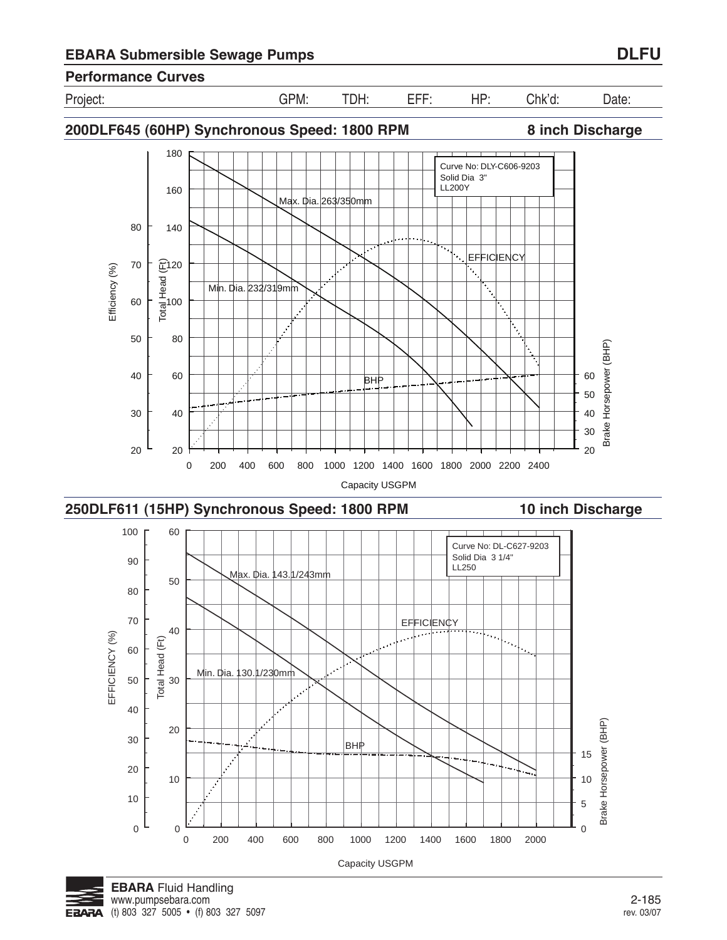

**200DLF645 (60HP) Synchronous Speed: 1800 RPM 8 inch Discharge**



0 200 400 600 800 1000 1200 1400 1600 1800 2000

Capacity USGPM



0

0

10

20

10

 $\mathcal{L}$ 

 $\overline{0}$ 5

10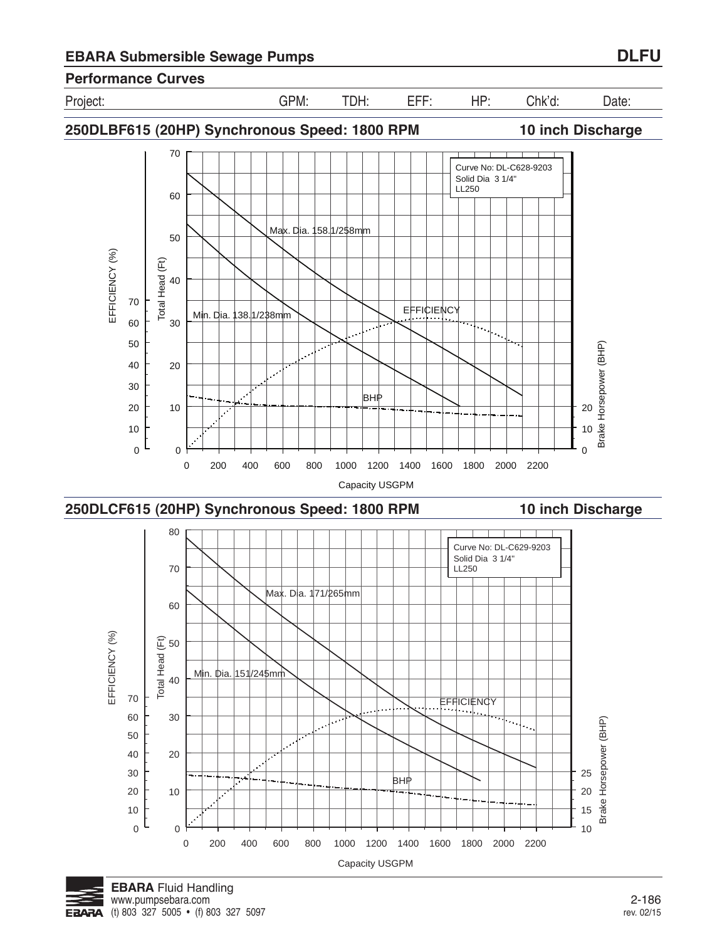





**250DLCF615 (20HP) Synchronous Speed: 1800 RPM 10 inch Discharge**



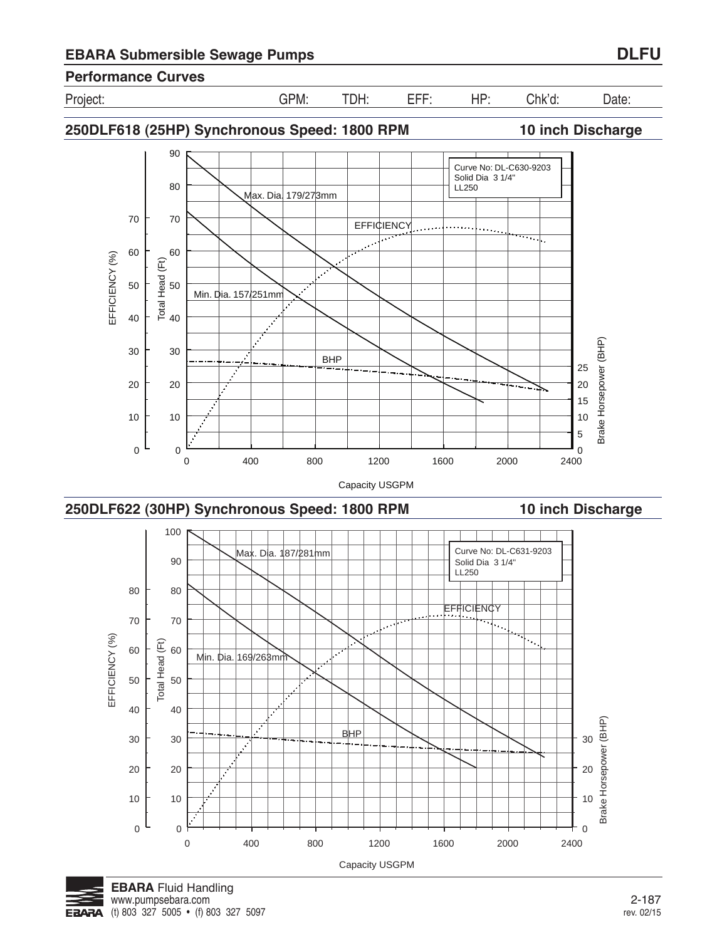



BHP

0 400 800 1200 1600 2000 2400



0

0

10

20

30

40

10

20

30

40

Brake Horsepower (BHP)

Brake Horsepower (BHP)



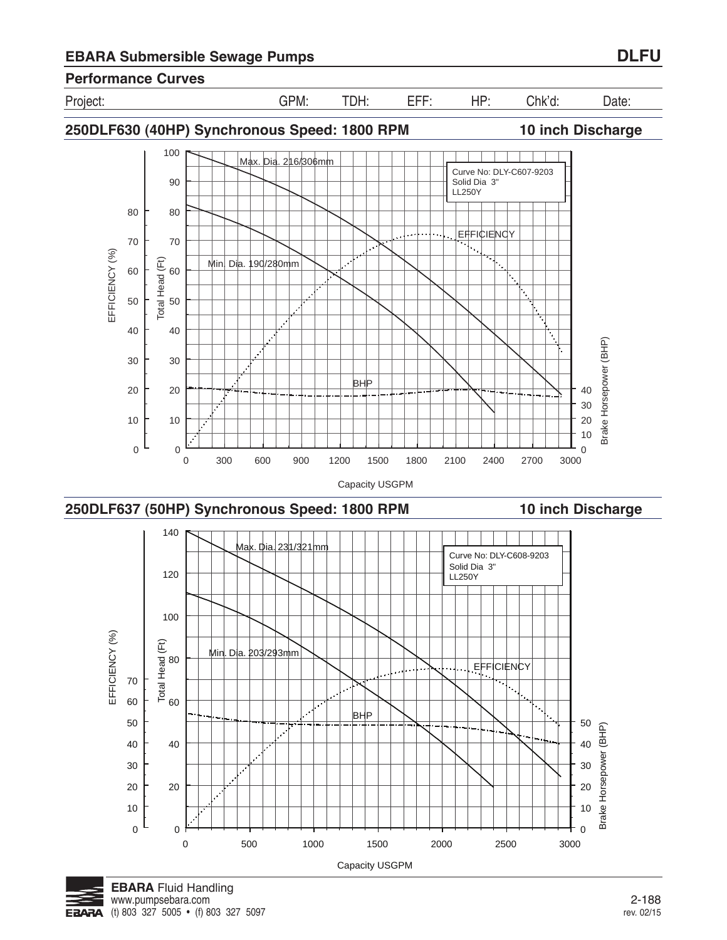







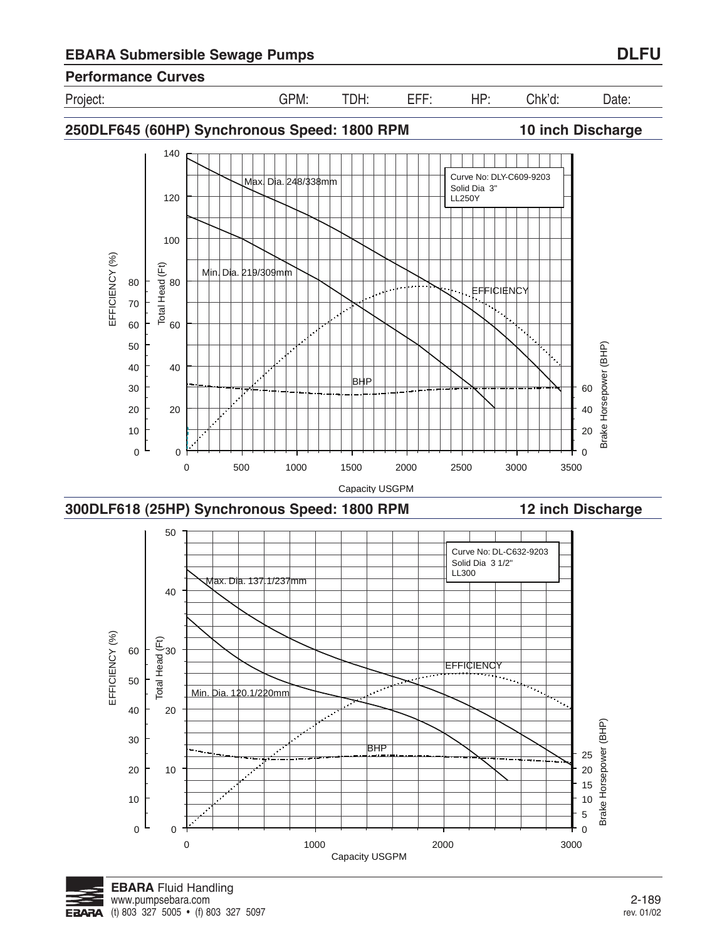

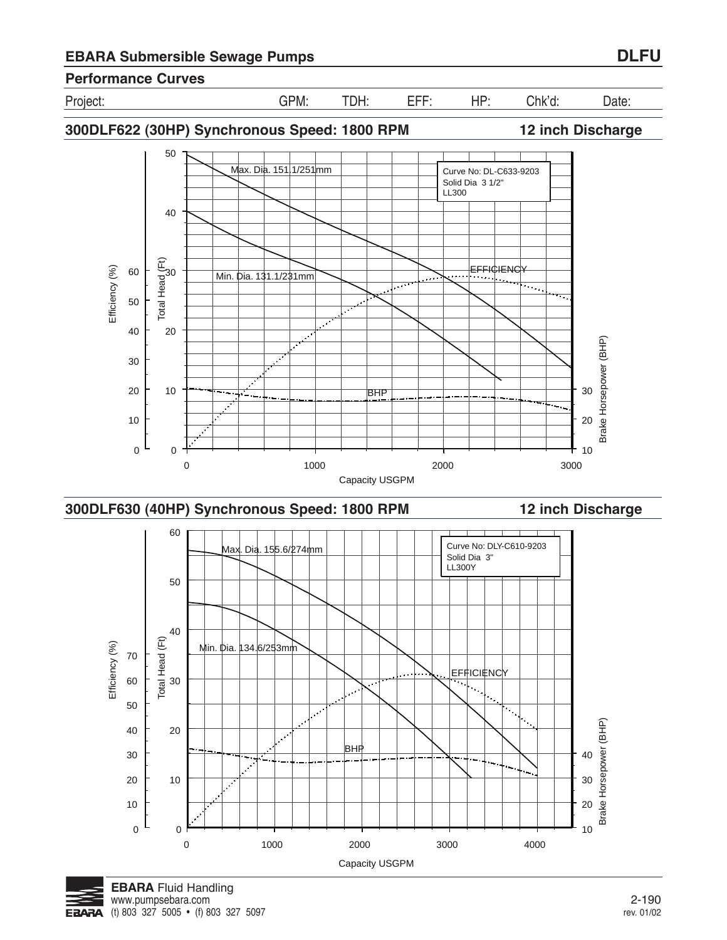